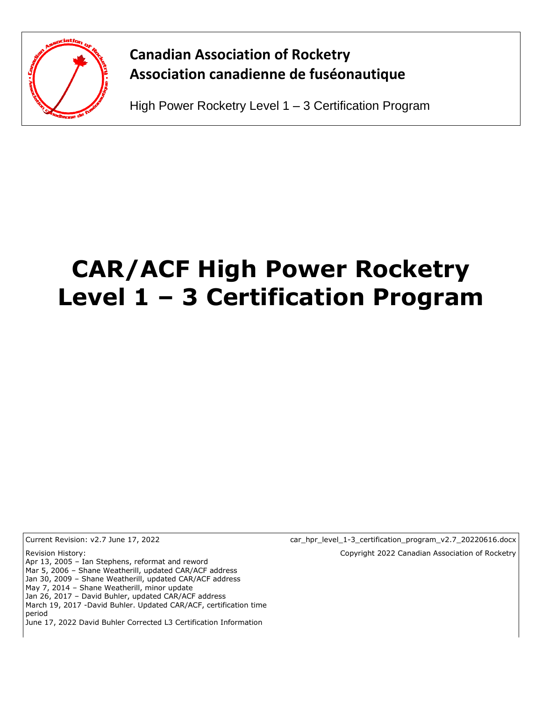

# **Canadian Association of Rocketry Association canadienne de fuséonautique**

High Power Rocketry Level 1 – 3 Certification Program

# **CAR/ACF High Power Rocketry Level 1 – 3 Certification Program**

Revision History:

Apr 13, 2005 – Ian Stephens, reformat and reword Mar 5, 2006 – Shane Weatherill, updated CAR/ACF address Jan 30, 2009 – Shane Weatherill, updated CAR/ACF address May 7, 2014 – Shane Weatherill, minor update Jan 26, 2017 – David Buhler, updated CAR/ACF address March 19, 2017 -David Buhler. Updated CAR/ACF, certification time period June 17, 2022 David Buhler Corrected L3 Certification Information

Current Revision: v2.7 June 17, 2022 car\_hpr\_level\_1-3\_certification\_program\_v2.7\_20220616.docx Copyright 2022 Canadian Association of Rocketry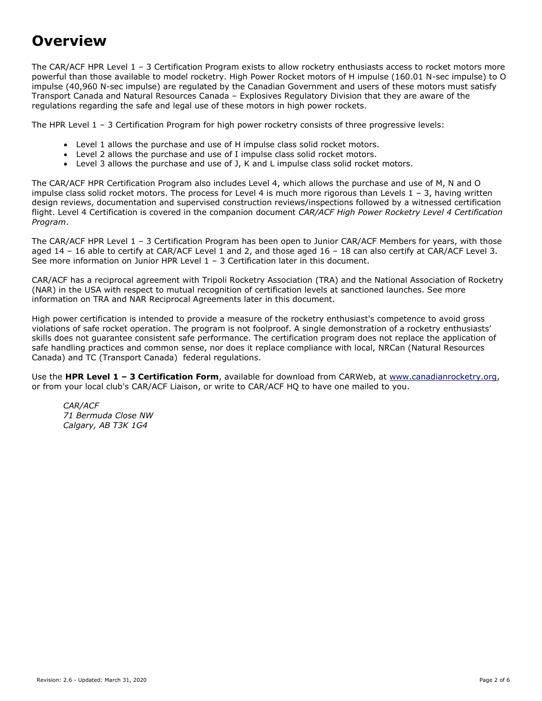## **Overview**

The CAR/ACF HPR Level 1 – 3 Certification Program exists to allow rocketry enthusiasts access to rocket motors more powerful than those available to model rocketry. High Power Rocket motors of H impulse (160.01 N-sec impulse) to O impulse (40,960 N-sec impulse) are regulated by the Canadian Government and users of these motors must satisfy Transport Canada and Natural Resources Canada – Explosives Regulatory Division that they are aware of the regulations regarding the safe and legal use of these motors in high power rockets.

The HPR Level 1 – 3 Certification Program for high power rocketry consists of three progressive levels:

- Level 1 allows the purchase and use of H impulse class solid rocket motors.
- Level 2 allows the purchase and use of I impulse class solid rocket motors.
- Level 3 allows the purchase and use of J, K and L impulse class solid rocket motors.

The CAR/ACF HPR Certification Program also includes Level 4, which allows the purchase and use of M, N and O impulse class solid rocket motors. The process for Level 4 is much more rigorous than Levels  $1 - 3$ , having written design reviews, documentation and supervised construction reviews/inspections followed by a witnessed certification flight. Level 4 Certification is covered in the companion document *CAR/ACF High Power Rocketry Level 4 Certification Program*.

The CAR/ACF HPR Level 1 – 3 Certification Program has been open to Junior CAR/ACF Members for years, with those aged 14 - 16 able to certify at CAR/ACF Level 1 and 2, and those aged 16 - 18 can also certify at CAR/ACF Level 3. See more information on Junior HPR Level  $1 - 3$  Certification later in this document.

CAR/ACF has a reciprocal agreement with Tripoli Rocketry Association (TRA) and the National Association of Rocketry (NAR) in the USA with respect to mutual recognition of certification levels at sanctioned launches. See more information on TRA and NAR Reciprocal Agreements later in this document.

High power certification is intended to provide a measure of the rocketry enthusiast's competence to avoid gross violations of safe rocket operation. The program is not foolproof. A single demonstration of a rocketry enthusiasts' skills does not guarantee consistent safe performance. The certification program does not replace the application of safe handling practices and common sense, nor does it replace compliance with local, NRCan (Natural Resources Canada) and TC (Transport Canada) federal regulations.

Use the **HPR Level 1 – 3 Certification Form**, available for download from CARWeb, at [www.canadianrocketry.org,](http://www.canadianrocketry.org/) or from your local club's CAR/ACF Liaison, or write to CAR/ACF HQ to have one mailed to you.

*CAR/ACF 71 Bermuda Close NW Calgary, AB T3K 1G4*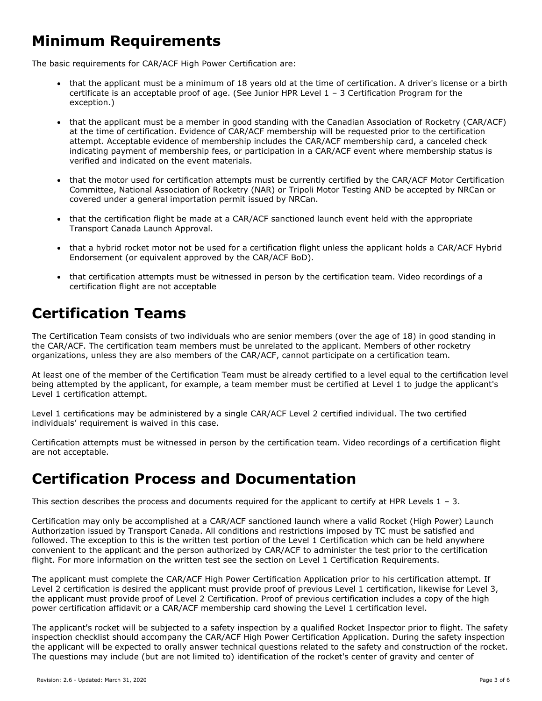# **Minimum Requirements**

The basic requirements for CAR/ACF High Power Certification are:

- that the applicant must be a minimum of 18 years old at the time of certification. A driver's license or a birth certificate is an acceptable proof of age. (See Junior HPR Level 1 – 3 Certification Program for the exception.)
- that the applicant must be a member in good standing with the Canadian Association of Rocketry (CAR/ACF) at the time of certification. Evidence of CAR/ACF membership will be requested prior to the certification attempt. Acceptable evidence of membership includes the CAR/ACF membership card, a canceled check indicating payment of membership fees, or participation in a CAR/ACF event where membership status is verified and indicated on the event materials.
- that the motor used for certification attempts must be currently certified by the CAR/ACF Motor Certification Committee, National Association of Rocketry (NAR) or Tripoli Motor Testing AND be accepted by NRCan or covered under a general importation permit issued by NRCan.
- that the certification flight be made at a CAR/ACF sanctioned launch event held with the appropriate Transport Canada Launch Approval.
- that a hybrid rocket motor not be used for a certification flight unless the applicant holds a CAR/ACF Hybrid Endorsement (or equivalent approved by the CAR/ACF BoD).
- that certification attempts must be witnessed in person by the certification team. Video recordings of a certification flight are not acceptable

## **Certification Teams**

The Certification Team consists of two individuals who are senior members (over the age of 18) in good standing in the CAR/ACF. The certification team members must be unrelated to the applicant. Members of other rocketry organizations, unless they are also members of the CAR/ACF, cannot participate on a certification team.

At least one of the member of the Certification Team must be already certified to a level equal to the certification level being attempted by the applicant, for example, a team member must be certified at Level 1 to judge the applicant's Level 1 certification attempt.

Level 1 certifications may be administered by a single CAR/ACF Level 2 certified individual. The two certified individuals' requirement is waived in this case.

Certification attempts must be witnessed in person by the certification team. Video recordings of a certification flight are not acceptable.

## **Certification Process and Documentation**

This section describes the process and documents required for the applicant to certify at HPR Levels  $1 - 3$ .

Certification may only be accomplished at a CAR/ACF sanctioned launch where a valid Rocket (High Power) Launch Authorization issued by Transport Canada. All conditions and restrictions imposed by TC must be satisfied and followed. The exception to this is the written test portion of the Level 1 Certification which can be held anywhere convenient to the applicant and the person authorized by CAR/ACF to administer the test prior to the certification flight. For more information on the written test see the section on Level 1 Certification Requirements.

The applicant must complete the CAR/ACF High Power Certification Application prior to his certification attempt. If Level 2 certification is desired the applicant must provide proof of previous Level 1 certification, likewise for Level 3, the applicant must provide proof of Level 2 Certification. Proof of previous certification includes a copy of the high power certification affidavit or a CAR/ACF membership card showing the Level 1 certification level.

The applicant's rocket will be subjected to a safety inspection by a qualified Rocket Inspector prior to flight. The safety inspection checklist should accompany the CAR/ACF High Power Certification Application. During the safety inspection the applicant will be expected to orally answer technical questions related to the safety and construction of the rocket. The questions may include (but are not limited to) identification of the rocket's center of gravity and center of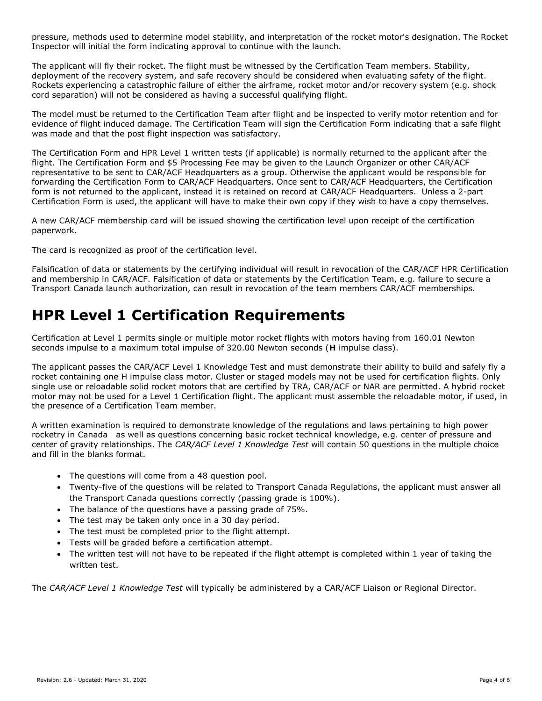pressure, methods used to determine model stability, and interpretation of the rocket motor's designation. The Rocket Inspector will initial the form indicating approval to continue with the launch.

The applicant will fly their rocket. The flight must be witnessed by the Certification Team members. Stability, deployment of the recovery system, and safe recovery should be considered when evaluating safety of the flight. Rockets experiencing a catastrophic failure of either the airframe, rocket motor and/or recovery system (e.g. shock cord separation) will not be considered as having a successful qualifying flight.

The model must be returned to the Certification Team after flight and be inspected to verify motor retention and for evidence of flight induced damage. The Certification Team will sign the Certification Form indicating that a safe flight was made and that the post flight inspection was satisfactory.

The Certification Form and HPR Level 1 written tests (if applicable) is normally returned to the applicant after the flight. The Certification Form and \$5 Processing Fee may be given to the Launch Organizer or other CAR/ACF representative to be sent to CAR/ACF Headquarters as a group. Otherwise the applicant would be responsible for forwarding the Certification Form to CAR/ACF Headquarters. Once sent to CAR/ACF Headquarters, the Certification form is not returned to the applicant, instead it is retained on record at CAR/ACF Headquarters. Unless a 2-part Certification Form is used, the applicant will have to make their own copy if they wish to have a copy themselves.

A new CAR/ACF membership card will be issued showing the certification level upon receipt of the certification paperwork.

The card is recognized as proof of the certification level.

Falsification of data or statements by the certifying individual will result in revocation of the CAR/ACF HPR Certification and membership in CAR/ACF. Falsification of data or statements by the Certification Team, e.g. failure to secure a Transport Canada launch authorization, can result in revocation of the team members CAR/ACF memberships.

#### **HPR Level 1 Certification Requirements**

Certification at Level 1 permits single or multiple motor rocket flights with motors having from 160.01 Newton seconds impulse to a maximum total impulse of 320.00 Newton seconds (**H** impulse class).

The applicant passes the CAR/ACF Level 1 Knowledge Test and must demonstrate their ability to build and safely fly a rocket containing one H impulse class motor. Cluster or staged models may not be used for certification flights. Only single use or reloadable solid rocket motors that are certified by TRA, CAR/ACF or NAR are permitted. A hybrid rocket motor may not be used for a Level 1 Certification flight. The applicant must assemble the reloadable motor, if used, in the presence of a Certification Team member.

A written examination is required to demonstrate knowledge of the regulations and laws pertaining to high power rocketry in Canada as well as questions concerning basic rocket technical knowledge, e.g. center of pressure and center of gravity relationships. The *CAR/ACF Level 1 Knowledge Test* will contain 50 questions in the multiple choice and fill in the blanks format.

- The questions will come from a 48 question pool.
- Twenty-five of the questions will be related to Transport Canada Regulations, the applicant must answer all the Transport Canada questions correctly (passing grade is 100%).
- The balance of the questions have a passing grade of 75%.
- The test may be taken only once in a 30 day period.
- The test must be completed prior to the flight attempt.
- Tests will be graded before a certification attempt.
- The written test will not have to be repeated if the flight attempt is completed within 1 year of taking the written test.

The *CAR/ACF Level 1 Knowledge Test* will typically be administered by a CAR/ACF Liaison or Regional Director.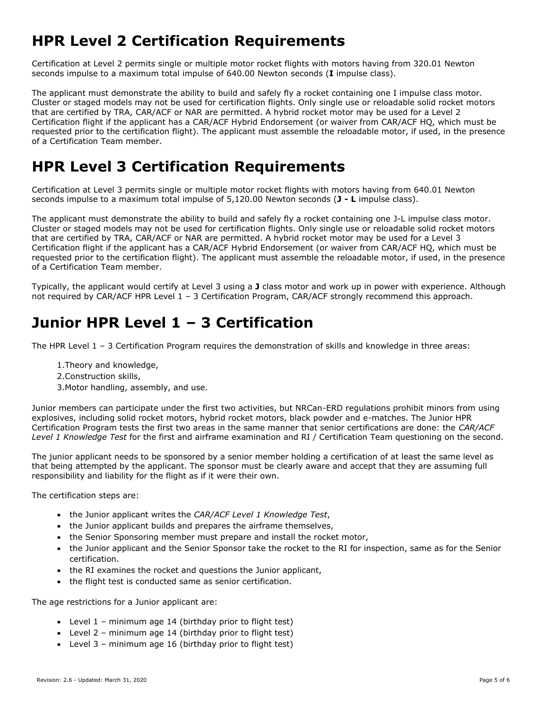# **HPR Level 2 Certification Requirements**

Certification at Level 2 permits single or multiple motor rocket flights with motors having from 320.01 Newton seconds impulse to a maximum total impulse of 640.00 Newton seconds (**I** impulse class).

The applicant must demonstrate the ability to build and safely fly a rocket containing one I impulse class motor. Cluster or staged models may not be used for certification flights. Only single use or reloadable solid rocket motors that are certified by TRA, CAR/ACF or NAR are permitted. A hybrid rocket motor may be used for a Level 2 Certification flight if the applicant has a CAR/ACF Hybrid Endorsement (or waiver from CAR/ACF HQ, which must be requested prior to the certification flight). The applicant must assemble the reloadable motor, if used, in the presence of a Certification Team member.

#### **HPR Level 3 Certification Requirements**

Certification at Level 3 permits single or multiple motor rocket flights with motors having from 640.01 Newton seconds impulse to a maximum total impulse of 5,120.00 Newton seconds (**J - L** impulse class).

The applicant must demonstrate the ability to build and safely fly a rocket containing one J-L impulse class motor. Cluster or staged models may not be used for certification flights. Only single use or reloadable solid rocket motors that are certified by TRA, CAR/ACF or NAR are permitted. A hybrid rocket motor may be used for a Level 3 Certification flight if the applicant has a CAR/ACF Hybrid Endorsement (or waiver from CAR/ACF HQ, which must be requested prior to the certification flight). The applicant must assemble the reloadable motor, if used, in the presence of a Certification Team member.

Typically, the applicant would certify at Level 3 using a **J** class motor and work up in power with experience. Although not required by CAR/ACF HPR Level 1 – 3 Certification Program, CAR/ACF strongly recommend this approach.

#### **Junior HPR Level 1 – 3 Certification**

The HPR Level 1 – 3 Certification Program requires the demonstration of skills and knowledge in three areas:

- 1.Theory and knowledge,
- 2.Construction skills,
- 3.Motor handling, assembly, and use.

Junior members can participate under the first two activities, but NRCan-ERD regulations prohibit minors from using explosives, including solid rocket motors, hybrid rocket motors, black powder and e-matches. The Junior HPR Certification Program tests the first two areas in the same manner that senior certifications are done: the *CAR/ACF Level 1 Knowledge Test* for the first and airframe examination and RI / Certification Team questioning on the second.

The junior applicant needs to be sponsored by a senior member holding a certification of at least the same level as that being attempted by the applicant. The sponsor must be clearly aware and accept that they are assuming full responsibility and liability for the flight as if it were their own.

The certification steps are:

- the Junior applicant writes the *CAR/ACF Level 1 Knowledge Test*,
- the Junior applicant builds and prepares the airframe themselves,
- the Senior Sponsoring member must prepare and install the rocket motor,
- the Junior applicant and the Senior Sponsor take the rocket to the RI for inspection, same as for the Senior certification.
- the RI examines the rocket and questions the Junior applicant,
- the flight test is conducted same as senior certification.

The age restrictions for a Junior applicant are:

- Level 1 minimum age 14 (birthday prior to flight test)
- Level 2 minimum age 14 (birthday prior to flight test)
- Level 3 minimum age 16 (birthday prior to flight test)